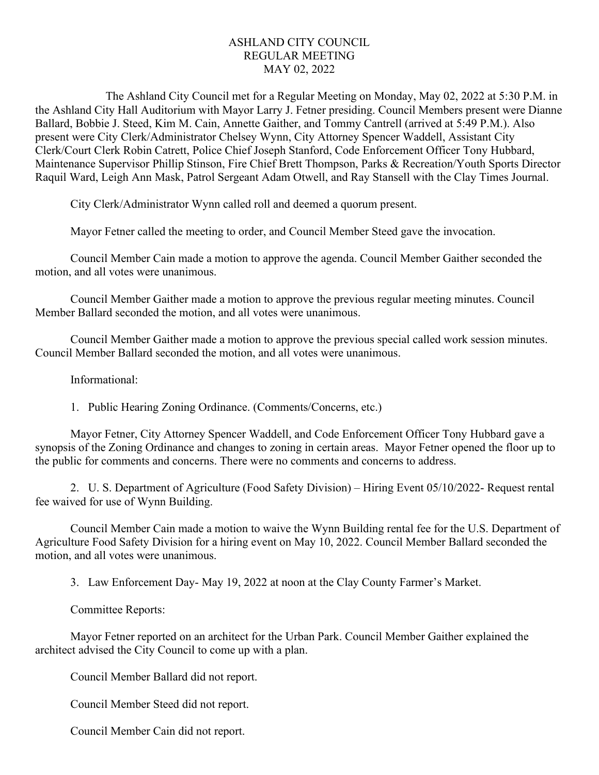## ASHLAND CITY COUNCIL REGULAR MEETING MAY 02, 2022

The Ashland City Council met for a Regular Meeting on Monday, May 02, 2022 at 5:30 P.M. in the Ashland City Hall Auditorium with Mayor Larry J. Fetner presiding. Council Members present were Dianne Ballard, Bobbie J. Steed, Kim M. Cain, Annette Gaither, and Tommy Cantrell (arrived at 5:49 P.M.). Also present were City Clerk/Administrator Chelsey Wynn, City Attorney Spencer Waddell, Assistant City Clerk/Court Clerk Robin Catrett, Police Chief Joseph Stanford, Code Enforcement Officer Tony Hubbard, Maintenance Supervisor Phillip Stinson, Fire Chief Brett Thompson, Parks & Recreation/Youth Sports Director Raquil Ward, Leigh Ann Mask, Patrol Sergeant Adam Otwell, and Ray Stansell with the Clay Times Journal.

City Clerk/Administrator Wynn called roll and deemed a quorum present.

Mayor Fetner called the meeting to order, and Council Member Steed gave the invocation.

Council Member Cain made a motion to approve the agenda. Council Member Gaither seconded the motion, and all votes were unanimous.

Council Member Gaither made a motion to approve the previous regular meeting minutes. Council Member Ballard seconded the motion, and all votes were unanimous.

Council Member Gaither made a motion to approve the previous special called work session minutes. Council Member Ballard seconded the motion, and all votes were unanimous.

Informational:

1. Public Hearing Zoning Ordinance. (Comments/Concerns, etc.)

Mayor Fetner, City Attorney Spencer Waddell, and Code Enforcement Officer Tony Hubbard gave a synopsis of the Zoning Ordinance and changes to zoning in certain areas. Mayor Fetner opened the floor up to the public for comments and concerns. There were no comments and concerns to address.

2. U. S. Department of Agriculture (Food Safety Division) – Hiring Event 05/10/2022- Request rental fee waived for use of Wynn Building.

Council Member Cain made a motion to waive the Wynn Building rental fee for the U.S. Department of Agriculture Food Safety Division for a hiring event on May 10, 2022. Council Member Ballard seconded the motion, and all votes were unanimous.

3. Law Enforcement Day- May 19, 2022 at noon at the Clay County Farmer's Market.

Committee Reports:

Mayor Fetner reported on an architect for the Urban Park. Council Member Gaither explained the architect advised the City Council to come up with a plan.

Council Member Ballard did not report.

Council Member Steed did not report.

Council Member Cain did not report.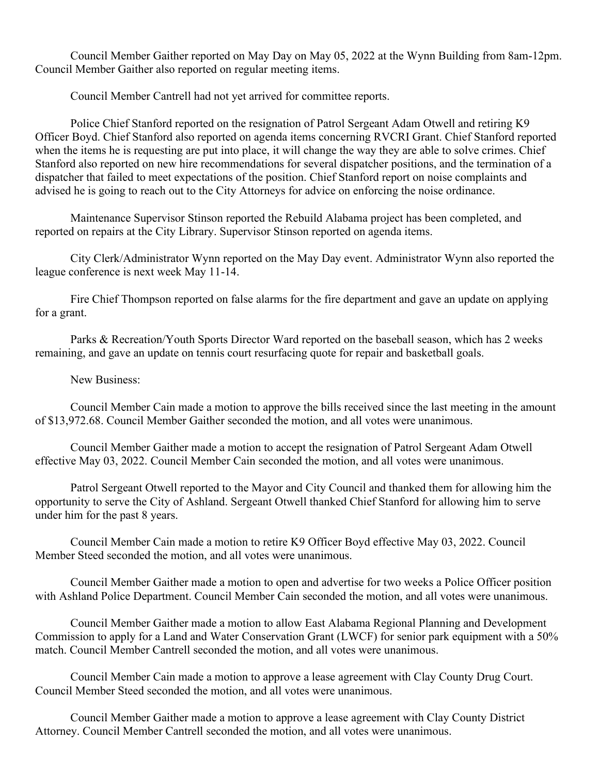Council Member Gaither reported on May Day on May 05, 2022 at the Wynn Building from 8am-12pm. Council Member Gaither also reported on regular meeting items.

Council Member Cantrell had not yet arrived for committee reports.

Police Chief Stanford reported on the resignation of Patrol Sergeant Adam Otwell and retiring K9 Officer Boyd. Chief Stanford also reported on agenda items concerning RVCRI Grant. Chief Stanford reported when the items he is requesting are put into place, it will change the way they are able to solve crimes. Chief Stanford also reported on new hire recommendations for several dispatcher positions, and the termination of a dispatcher that failed to meet expectations of the position. Chief Stanford report on noise complaints and advised he is going to reach out to the City Attorneys for advice on enforcing the noise ordinance.

Maintenance Supervisor Stinson reported the Rebuild Alabama project has been completed, and reported on repairs at the City Library. Supervisor Stinson reported on agenda items.

City Clerk/Administrator Wynn reported on the May Day event. Administrator Wynn also reported the league conference is next week May 11-14.

Fire Chief Thompson reported on false alarms for the fire department and gave an update on applying for a grant.

Parks & Recreation/Youth Sports Director Ward reported on the baseball season, which has 2 weeks remaining, and gave an update on tennis court resurfacing quote for repair and basketball goals.

New Business:

Council Member Cain made a motion to approve the bills received since the last meeting in the amount of \$13,972.68. Council Member Gaither seconded the motion, and all votes were unanimous.

Council Member Gaither made a motion to accept the resignation of Patrol Sergeant Adam Otwell effective May 03, 2022. Council Member Cain seconded the motion, and all votes were unanimous.

Patrol Sergeant Otwell reported to the Mayor and City Council and thanked them for allowing him the opportunity to serve the City of Ashland. Sergeant Otwell thanked Chief Stanford for allowing him to serve under him for the past 8 years.

Council Member Cain made a motion to retire K9 Officer Boyd effective May 03, 2022. Council Member Steed seconded the motion, and all votes were unanimous.

Council Member Gaither made a motion to open and advertise for two weeks a Police Officer position with Ashland Police Department. Council Member Cain seconded the motion, and all votes were unanimous.

Council Member Gaither made a motion to allow East Alabama Regional Planning and Development Commission to apply for a Land and Water Conservation Grant (LWCF) for senior park equipment with a 50% match. Council Member Cantrell seconded the motion, and all votes were unanimous.

Council Member Cain made a motion to approve a lease agreement with Clay County Drug Court. Council Member Steed seconded the motion, and all votes were unanimous.

Council Member Gaither made a motion to approve a lease agreement with Clay County District Attorney. Council Member Cantrell seconded the motion, and all votes were unanimous.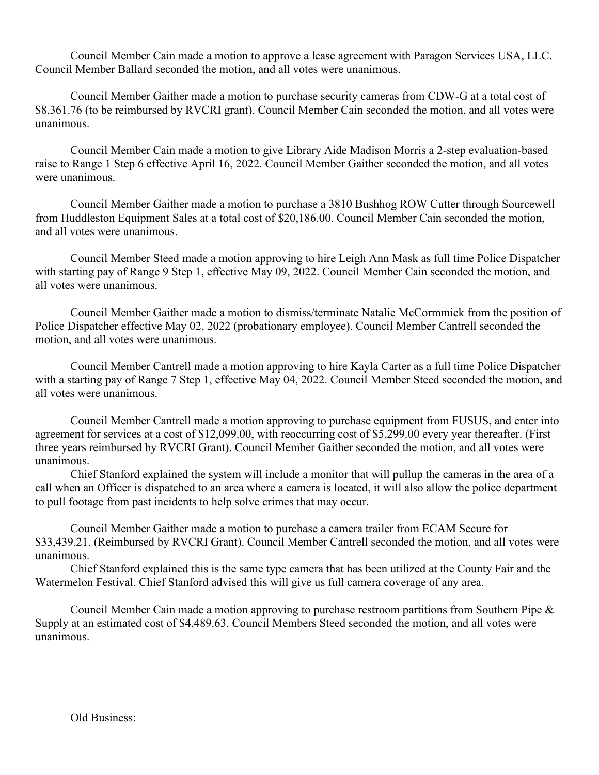Council Member Cain made a motion to approve a lease agreement with Paragon Services USA, LLC. Council Member Ballard seconded the motion, and all votes were unanimous.

Council Member Gaither made a motion to purchase security cameras from CDW-G at a total cost of \$8,361.76 (to be reimbursed by RVCRI grant). Council Member Cain seconded the motion, and all votes were unanimous.

Council Member Cain made a motion to give Library Aide Madison Morris a 2-step evaluation-based raise to Range 1 Step 6 effective April 16, 2022. Council Member Gaither seconded the motion, and all votes were unanimous.

Council Member Gaither made a motion to purchase a 3810 Bushhog ROW Cutter through Sourcewell from Huddleston Equipment Sales at a total cost of \$20,186.00. Council Member Cain seconded the motion, and all votes were unanimous.

Council Member Steed made a motion approving to hire Leigh Ann Mask as full time Police Dispatcher with starting pay of Range 9 Step 1, effective May 09, 2022. Council Member Cain seconded the motion, and all votes were unanimous.

Council Member Gaither made a motion to dismiss/terminate Natalie McCormmick from the position of Police Dispatcher effective May 02, 2022 (probationary employee). Council Member Cantrell seconded the motion, and all votes were unanimous.

Council Member Cantrell made a motion approving to hire Kayla Carter as a full time Police Dispatcher with a starting pay of Range 7 Step 1, effective May 04, 2022. Council Member Steed seconded the motion, and all votes were unanimous.

Council Member Cantrell made a motion approving to purchase equipment from FUSUS, and enter into agreement for services at a cost of \$12,099.00, with reoccurring cost of \$5,299.00 every year thereafter. (First three years reimbursed by RVCRI Grant). Council Member Gaither seconded the motion, and all votes were unanimous.

Chief Stanford explained the system will include a monitor that will pullup the cameras in the area of a call when an Officer is dispatched to an area where a camera is located, it will also allow the police department to pull footage from past incidents to help solve crimes that may occur.

Council Member Gaither made a motion to purchase a camera trailer from ECAM Secure for \$33,439.21. (Reimbursed by RVCRI Grant). Council Member Cantrell seconded the motion, and all votes were unanimous.

Chief Stanford explained this is the same type camera that has been utilized at the County Fair and the Watermelon Festival. Chief Stanford advised this will give us full camera coverage of any area.

Council Member Cain made a motion approving to purchase restroom partitions from Southern Pipe & Supply at an estimated cost of \$4,489.63. Council Members Steed seconded the motion, and all votes were unanimous.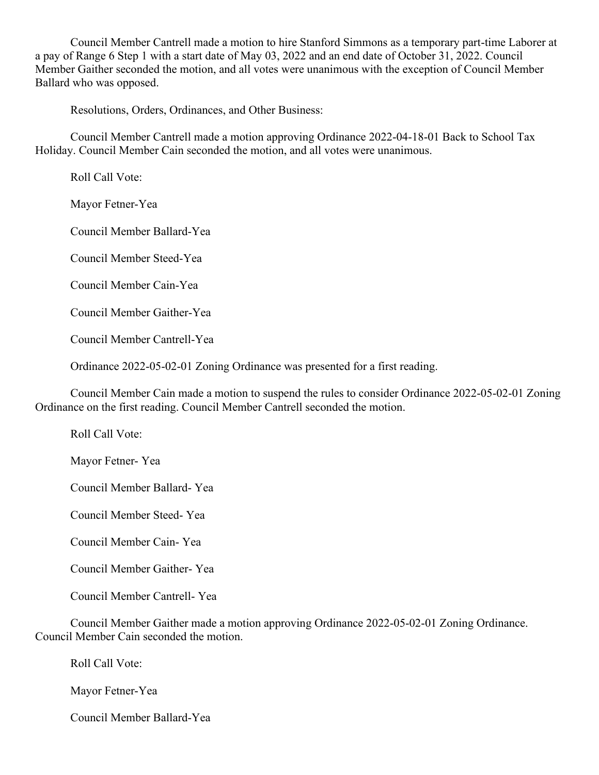Council Member Cantrell made a motion to hire Stanford Simmons as a temporary part-time Laborer at a pay of Range 6 Step 1 with a start date of May 03, 2022 and an end date of October 31, 2022. Council Member Gaither seconded the motion, and all votes were unanimous with the exception of Council Member Ballard who was opposed.

Resolutions, Orders, Ordinances, and Other Business:

Council Member Cantrell made a motion approving Ordinance 2022-04-18-01 Back to School Tax Holiday. Council Member Cain seconded the motion, and all votes were unanimous.

Roll Call Vote:

Mayor Fetner-Yea

Council Member Ballard-Yea

Council Member Steed-Yea

Council Member Cain-Yea

Council Member Gaither-Yea

Council Member Cantrell-Yea

Ordinance 2022-05-02-01 Zoning Ordinance was presented for a first reading.

Council Member Cain made a motion to suspend the rules to consider Ordinance 2022-05-02-01 Zoning Ordinance on the first reading. Council Member Cantrell seconded the motion.

Roll Call Vote:

Mayor Fetner- Yea

Council Member Ballard- Yea

Council Member Steed- Yea

Council Member Cain- Yea

Council Member Gaither- Yea

Council Member Cantrell- Yea

Council Member Gaither made a motion approving Ordinance 2022-05-02-01 Zoning Ordinance. Council Member Cain seconded the motion.

Roll Call Vote:

Mayor Fetner-Yea

Council Member Ballard-Yea